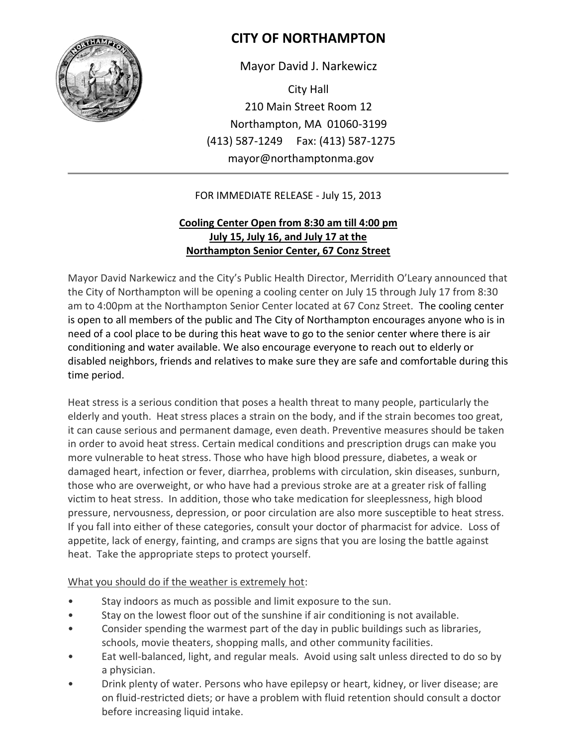

## **CITY OF NORTHAMPTON**

Mayor David J. Narkewicz

City Hall 210 Main Street Room 12 Northampton, MA 01060-3199 (413) 587-1249 Fax: (413) 587-1275 mayor@northamptonma.gov

## FOR IMMEDIATE RELEASE - July 15, 2013

## **Cooling Center Open from 8:30 am till 4:00 pm July 15, July 16, and July 17 at the Northampton Senior Center, 67 Conz Street**

Mayor David Narkewicz and the City's Public Health Director, Merridith O'Leary announced that the City of Northampton will be opening a cooling center on July 15 through July 17 from 8:30 am to 4:00pm at the Northampton Senior Center located at 67 Conz Street. The cooling center is open to all members of the public and The City of Northampton encourages anyone who is in need of a cool place to be during this heat wave to go to the senior center where there is air conditioning and water available. We also encourage everyone to reach out to elderly or disabled neighbors, friends and relatives to make sure they are safe and comfortable during this time period.

Heat stress is a serious condition that poses a health threat to many people, particularly the elderly and youth. Heat stress places a strain on the body, and if the strain becomes too great, it can cause serious and permanent damage, even death. Preventive measures should be taken in order to avoid heat stress. Certain medical conditions and prescription drugs can make you more vulnerable to heat stress. Those who have high blood pressure, diabetes, a weak or damaged heart, infection or fever, diarrhea, problems with circulation, skin diseases, sunburn, those who are overweight, or who have had a previous stroke are at a greater risk of falling victim to heat stress. In addition, those who take medication for sleeplessness, high blood pressure, nervousness, depression, or poor circulation are also more susceptible to heat stress. If you fall into either of these categories, consult your doctor of pharmacist for advice. Loss of appetite, lack of energy, fainting, and cramps are signs that you are losing the battle against heat. Take the appropriate steps to protect yourself.

## What you should do if the weather is extremely hot:

- Stay indoors as much as possible and limit exposure to the sun.
- Stay on the lowest floor out of the sunshine if air conditioning is not available.
- Consider spending the warmest part of the day in public buildings such as libraries, schools, movie theaters, shopping malls, and other community facilities.
- Eat well-balanced, light, and regular meals. Avoid using salt unless directed to do so by a physician.
- Drink plenty of water. Persons who have epilepsy or heart, kidney, or liver disease; are on fluid-restricted diets; or have a problem with fluid retention should consult a doctor before increasing liquid intake.